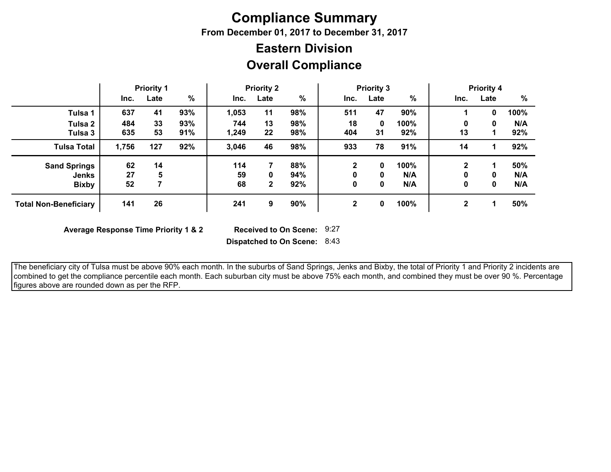### **Compliance Summary**

**From December 01, 2017 to December 31, 2017**

# **Eastern Division**

### **Overall Compliance**

|                              | <b>Priority 1</b> |      | <b>Priority 2</b> |       | <b>Priority 3</b> |     |             |      | <b>Priority 4</b> |              |      |      |
|------------------------------|-------------------|------|-------------------|-------|-------------------|-----|-------------|------|-------------------|--------------|------|------|
|                              | Inc.              | Late | $\frac{0}{0}$     | Inc.  | Late              | %   | Inc.        | Late | $\frac{9}{6}$     | Inc.         | Late | %    |
| Tulsa 1                      | 637               | 41   | 93%               | 1,053 | 11                | 98% | 511         | 47   | 90%               |              | 0    | 100% |
| Tulsa 2                      | 484               | 33   | 93%               | 744   | 13                | 98% | 18          | 0    | 100%              | 0            | 0    | N/A  |
| Tulsa 3                      | 635               | 53   | 91%               | 1,249 | 22                | 98% | 404         | 31   | 92%               | 13           |      | 92%  |
| <b>Tulsa Total</b>           | 1,756             | 127  | 92%               | 3,046 | 46                | 98% | 933         | 78   | 91%               | 14           |      | 92%  |
| <b>Sand Springs</b>          | 62                | 14   |                   | 114   |                   | 88% |             | 0    | 100%              | $\mathbf 2$  |      | 50%  |
| Jenks                        | 27                | 5    |                   | 59    | 0                 | 94% |             | 0    | N/A               | 0            | 0    | N/A  |
| <b>Bixby</b>                 | 52                |      |                   | 68    | $\mathbf{2}$      | 92% |             | 0    | N/A               | 0            | 0    | N/A  |
| <b>Total Non-Beneficiary</b> | 141               | 26   |                   | 241   | 9                 | 90% | $\mathbf 2$ | 0    | 100%              | $\mathbf{2}$ |      | 50%  |

**Average Response Time Priority 1 & 2** 

Received to On Scene: 9:27

**Dispatched to On Scene:** 8:43

 The beneficiary city of Tulsa must be above 90% each month. In the suburbs of Sand Springs, Jenks and Bixby, the total of Priority 1 and Priority 2 incidents are combined to get the compliance percentile each month. Each suburban city must be above 75% each month, and combined they must be over 90 %. Percentage figures above are rounded down as per the RFP.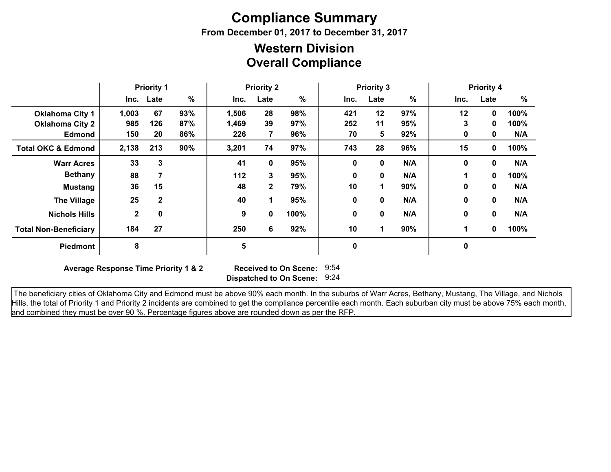## **Compliance Summary**

**From December 01, 2017 to December 31, 2017**

#### **Overall Compliance Western Division**

|                               | <b>Priority 1</b> |              | <b>Priority 2</b> |       |              | <b>Priority 3</b> |      |             |               | <b>Priority 4</b><br>%<br>Inc.<br>Late<br>12<br>100%<br>0 |              |      |
|-------------------------------|-------------------|--------------|-------------------|-------|--------------|-------------------|------|-------------|---------------|-----------------------------------------------------------|--------------|------|
|                               |                   | Inc. Late    | $\%$              | Inc.  | Late         | %                 | Inc. | Late        | $\frac{9}{6}$ |                                                           |              |      |
| <b>Oklahoma City 1</b>        | 1,003             | 67           | 93%               | 1,506 | 28           | 98%               | 421  | 12          | 97%           |                                                           |              |      |
| <b>Oklahoma City 2</b>        | 985               | 126          | 87%               | 1,469 | 39           | 97%               | 252  | 11          | 95%           | 3                                                         | 0            | 100% |
| Edmond                        | 150               | 20           | 86%               | 226   | 7            | 96%               | 70   | 5           | 92%           | 0                                                         | 0            | N/A  |
| <b>Total OKC &amp; Edmond</b> | 2,138             | 213          | 90%               | 3,201 | 74           | 97%               | 743  | 28          | 96%           | 15                                                        | 0            | 100% |
| <b>Warr Acres</b>             | 33                | 3            |                   | 41    | 0            | 95%               | 0    | $\mathbf 0$ | N/A           | $\mathbf{0}$                                              | 0            | N/A  |
| <b>Bethany</b>                | 88                |              |                   | 112   | 3            | 95%               | 0    | 0           | N/A           |                                                           | $\mathbf{0}$ | 100% |
| <b>Mustang</b>                | 36                | 15           |                   | 48    | $\mathbf{2}$ | 79%               | 10   | 1.          | 90%           | $\bf{0}$                                                  | 0            | N/A  |
| <b>The Village</b>            | 25                | $\mathbf{2}$ |                   | 40    | 1            | 95%               | 0    | 0           | N/A           | $\bf{0}$                                                  | 0            | N/A  |
| <b>Nichols Hills</b>          | $\mathbf{2}$      | 0            |                   | 9     | 0            | 100%              | 0    | 0           | N/A           | 0                                                         | $\mathbf 0$  | N/A  |
| <b>Total Non-Beneficiary</b>  | 184               | 27           |                   | 250   | 6            | 92%               | 10   | 1           | 90%           | 1                                                         | 0            | 100% |
| <b>Piedmont</b>               | 8                 |              |                   | 5     |              |                   | 0    |             |               | 0                                                         |              |      |

**Average Response Time Priority 1 & 2** 

**Dispatched to On Scene:** 9:24 Received to On Scene: 9:54

 The beneficiary cities of Oklahoma City and Edmond must be above 90% each month. In the suburbs of Warr Acres, Bethany, Mustang, The Village, and Nichols Hills, the total of Priority 1 and Priority 2 incidents are combined to get the compliance percentile each month. Each suburban city must be above 75% each month, and combined they must be over 90 %. Percentage figures above are rounded down as per the RFP.